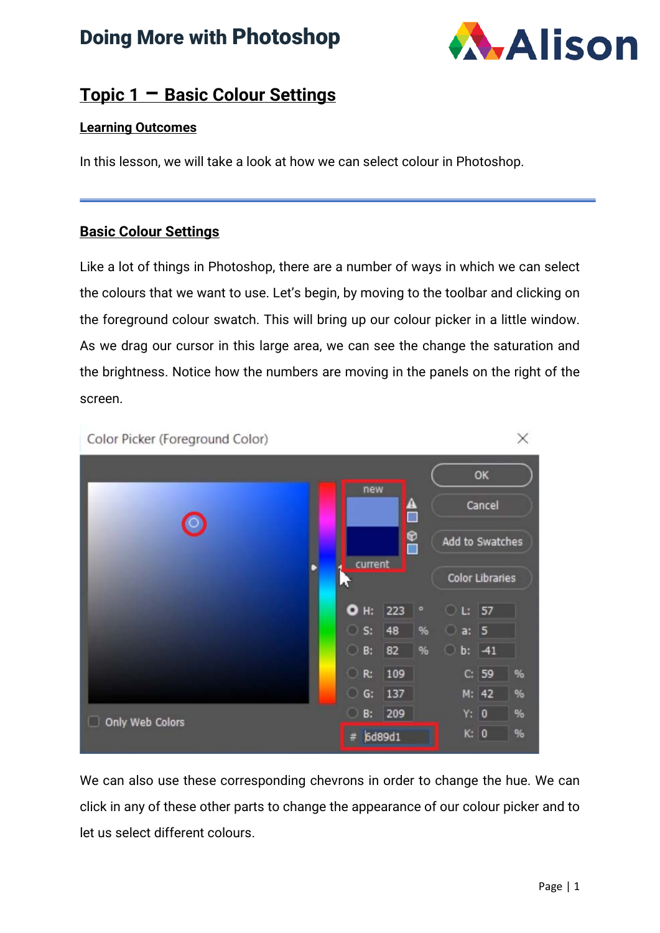## Doing More with Photoshop



### **Topic 1 – Basic Colour Settings**

#### **Learning Outcomes**

In this lesson, we will take a look at how we can select colour in Photoshop.

#### **Basic Colour Settings**

Like a lot of things in Photoshop, there are a number of ways in which we can select the colours that we want to use. Let's begin, by moving to the toolbar and clicking on the foreground colour swatch. This will bring up our colour picker in a little window. As we drag our cursor in this large area, we can see the change the saturation and the brightness. Notice how the numbers are moving in the panels on the right of the screen.



We can also use these corresponding chevrons in order to change the hue. We can click in any of these other parts to change the appearance of our colour picker and to let us select different colours.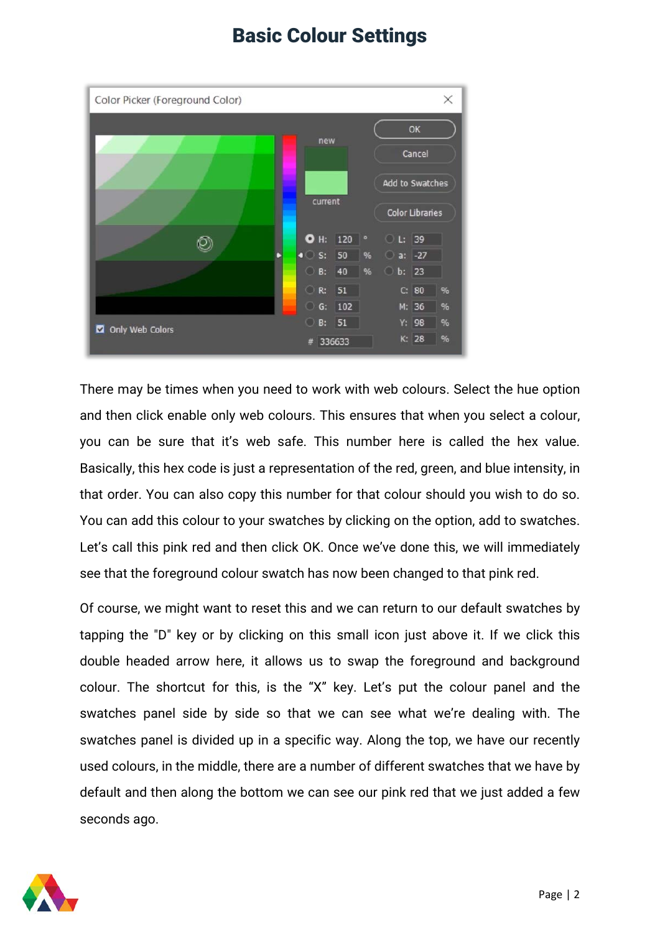

There may be times when you need to work with web colours. Select the hue option and then click enable only web colours. This ensures that when you select a colour, you can be sure that it's web safe. This number here is called the hex value. Basically, this hex code is just a representation of the red, green, and blue intensity, in that order. You can also copy this number for that colour should you wish to do so. You can add this colour to your swatches by clicking on the option, add to swatches. Let's call this pink red and then click OK. Once we've done this, we will immediately see that the foreground colour swatch has now been changed to that pink red.

Of course, we might want to reset this and we can return to our default swatches by tapping the "D" key or by clicking on this small icon just above it. If we click this double headed arrow here, it allows us to swap the foreground and background colour. The shortcut for this, is the "X" key. Let's put the colour panel and the swatches panel side by side so that we can see what we're dealing with. The swatches panel is divided up in a specific way. Along the top, we have our recently used colours, in the middle, there are a number of different swatches that we have by default and then along the bottom we can see our pink red that we just added a few seconds ago.

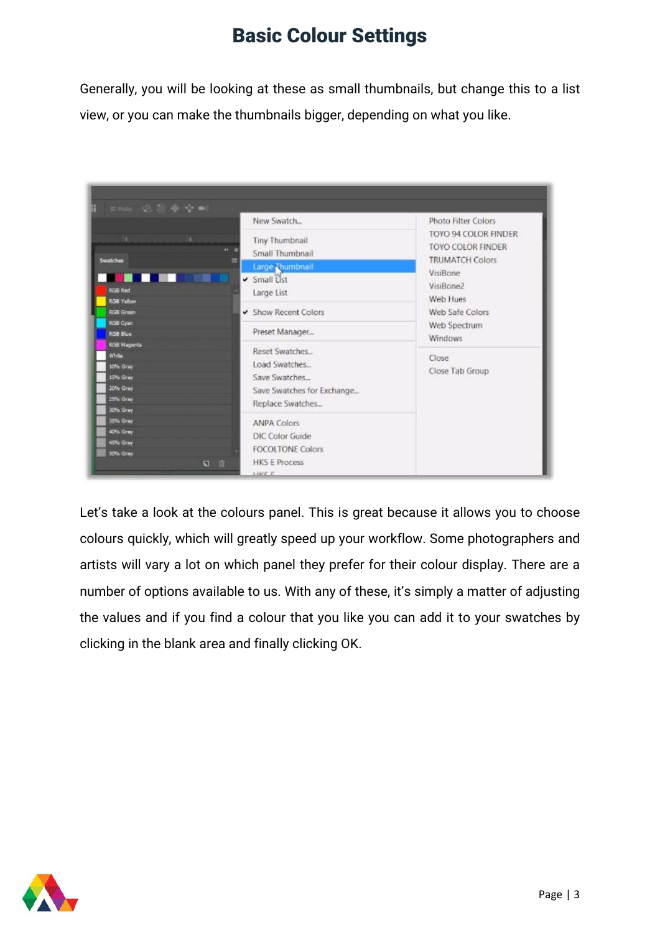Generally, you will be looking at these as small thumbnails, but change this to a list view, or you can make the thumbnails bigger, depending on what you like.



Let's take a look at the colours panel. This is great because it allows you to choose colours quickly, which will greatly speed up your workflow. Some photographers and artists will vary a lot on which panel they prefer for their colour display. There are a number of options available to us. With any of these, it's simply a matter of adjusting the values and if you find a colour that you like you can add it to your swatches by clicking in the blank area and finally clicking OK.

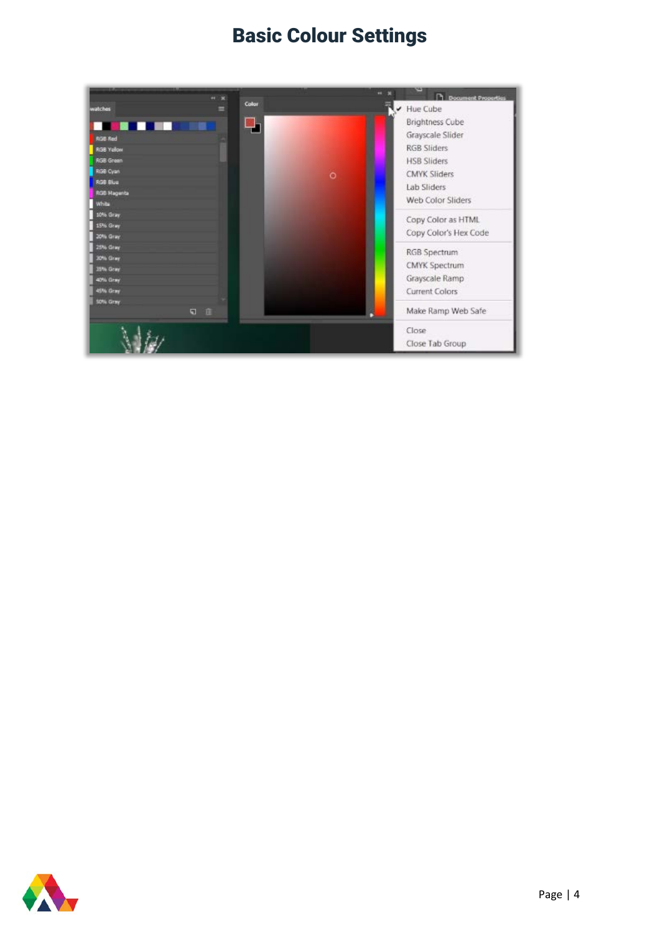